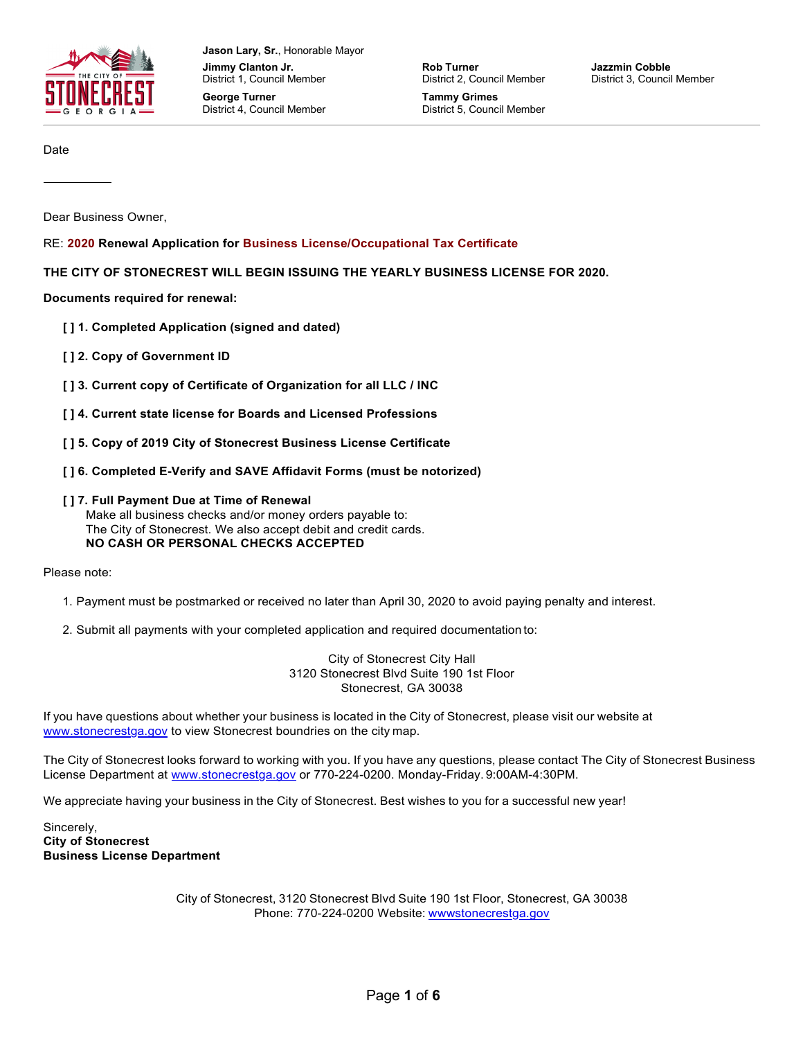

**Jason Lary, Sr.**, Honorable Mayor **Jimmy Clanton Jr.** District 1, Council Member

**George Turner** District 4, Council Member **Rob Turner** District 2, Council Member

**Tammy Grimes** District 5, Council Member **Jazzmin Cobble** District 3, Council Member

Date

Dear Business Owner,

RE: **2020 Renewal Application for Business License/Occupational Tax Certificate**

**THE CITY OF STONECREST WILL BEGIN ISSUING THE YEARLY BUSINESS LICENSE FOR 2020.**

**Documents required for renewal:**

- **[ ] 1. Completed Application (signed and dated)**
- **[ ] 2. Copy of Government ID**
- **[ ] 3. Current copy of Certificate of Organization for all LLC / INC**
- **[ ] 4. Current state license for Boards and Licensed Professions**
- **[ ] 5. Copy of 2019 City of Stonecrest Business License Certificate**
- **[ ] 6. Completed E-Verify and SAVE Affidavit Forms (must be notorized)**

#### **[ ] 7. Full Payment Due at Time of Renewal**

Make all business checks and/or money orders payable to: The City of Stonecrest. We also accept debit and credit cards. **NO CASH OR PERSONAL CHECKS ACCEPTED**

Please note:

- 1. Payment must be postmarked or received no later than April 30, 2020 to avoid paying penalty and interest.
- 2. Submit all payments with your completed application and required documentation to:

City of Stonecrest City Hall 3120 Stonecrest Blvd Suite 190 1st Floor Stonecrest, GA 30038

If you have questions about whether your business is located in the City of Stonecrest, please visit our website at [www.stonecrestga.gov t](http://www.stonecrestga.gov/)o view Stonecrest boundries on the city map.

The City of Stonecrest looks forward to working with you. If you have any questions, please contact The City of Stonecrest Business License Department at [www.stonecrestga.gov o](http://www.stonecrestga.gov/)r 770-224-0200. Monday-Friday. 9:00AM-4:30PM.

We appreciate having your business in the City of Stonecrest. Best wishes to you for a successful new year!

Sincerely, **City of Stonecrest Business License Department**

> City of Stonecrest, 3120 Stonecrest Blvd Suite 190 1st Floor, Stonecrest, GA 30038 Phone: 770-224-0200 Website: wwwstonecrestga.gov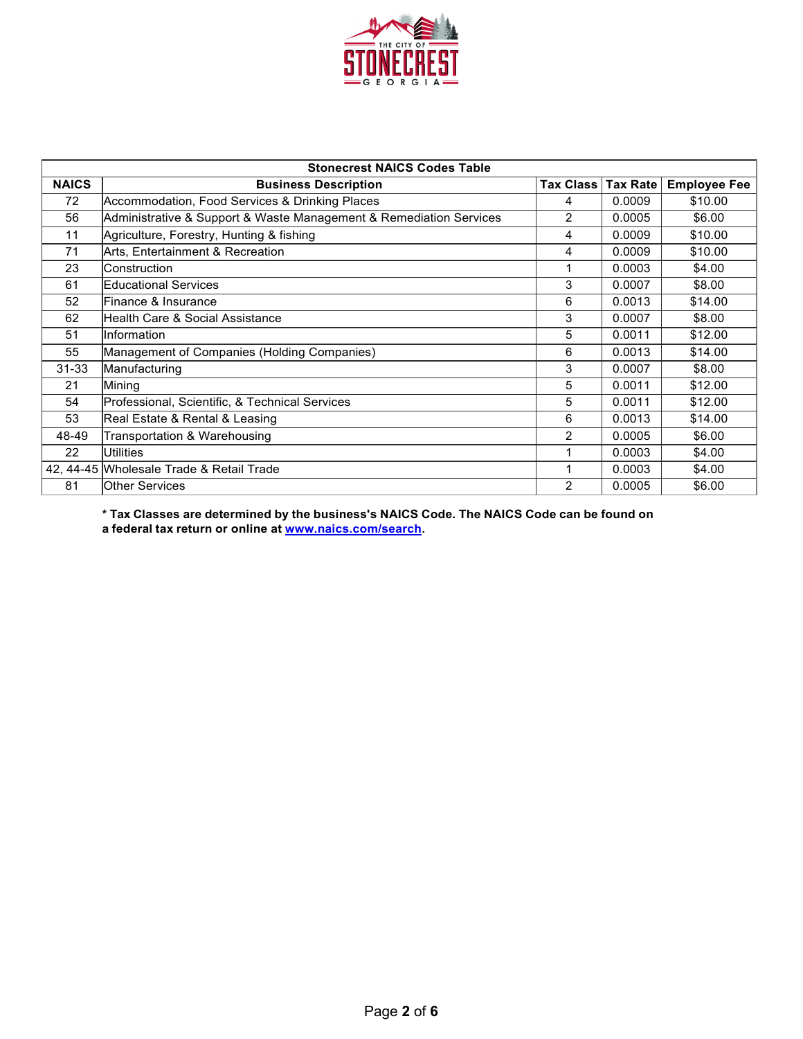

| <b>Stonecrest NAICS Codes Table</b> |                                                                    |                  |                 |                     |  |  |
|-------------------------------------|--------------------------------------------------------------------|------------------|-----------------|---------------------|--|--|
| <b>NAICS</b>                        | <b>Business Description</b>                                        | <b>Tax Class</b> | <b>Tax Rate</b> | <b>Employee Fee</b> |  |  |
| 72                                  | Accommodation, Food Services & Drinking Places                     | 4                | 0.0009          | \$10.00             |  |  |
| 56                                  | Administrative & Support & Waste Management & Remediation Services | $\overline{2}$   | 0.0005          | \$6.00              |  |  |
| 11                                  | Agriculture, Forestry, Hunting & fishing                           | 4                | 0.0009          | \$10.00             |  |  |
| 71                                  | Arts, Entertainment & Recreation                                   | 4                | 0.0009          | \$10.00             |  |  |
| 23                                  | Construction                                                       |                  | 0.0003          | \$4.00              |  |  |
| 61                                  | <b>Educational Services</b>                                        | 3                | 0.0007          | \$8.00              |  |  |
| 52                                  | Finance & Insurance                                                | 6                | 0.0013          | \$14.00             |  |  |
| 62                                  | Health Care & Social Assistance                                    | 3                | 0.0007          | \$8.00              |  |  |
| 51                                  | Information                                                        | 5                | 0.0011          | \$12.00             |  |  |
| 55                                  | Management of Companies (Holding Companies)                        | 6                | 0.0013          | \$14.00             |  |  |
| $31 - 33$                           | Manufacturing                                                      | 3                | 0.0007          | \$8.00              |  |  |
| 21                                  | Mining                                                             | 5                | 0.0011          | \$12.00             |  |  |
| 54                                  | Professional, Scientific, & Technical Services                     | 5                | 0.0011          | \$12.00             |  |  |
| 53                                  | Real Estate & Rental & Leasing                                     | 6                | 0.0013          | \$14.00             |  |  |
| 48-49                               | Transportation & Warehousing                                       | $\mathcal{P}$    | 0.0005          | \$6.00              |  |  |
| 22                                  | <b>Utilities</b>                                                   |                  | 0.0003          | \$4.00              |  |  |
|                                     | 42, 44-45 Wholesale Trade & Retail Trade                           |                  | 0.0003          | \$4.00              |  |  |
| 81                                  | <b>Other Services</b>                                              | 2                | 0.0005          | \$6.00              |  |  |

**\* Tax Classes are determined by the business's NAICS Code. The NAICS Code can be found on a federal tax return or online at [www.naics.com/search.](http://www.naics.com/search)**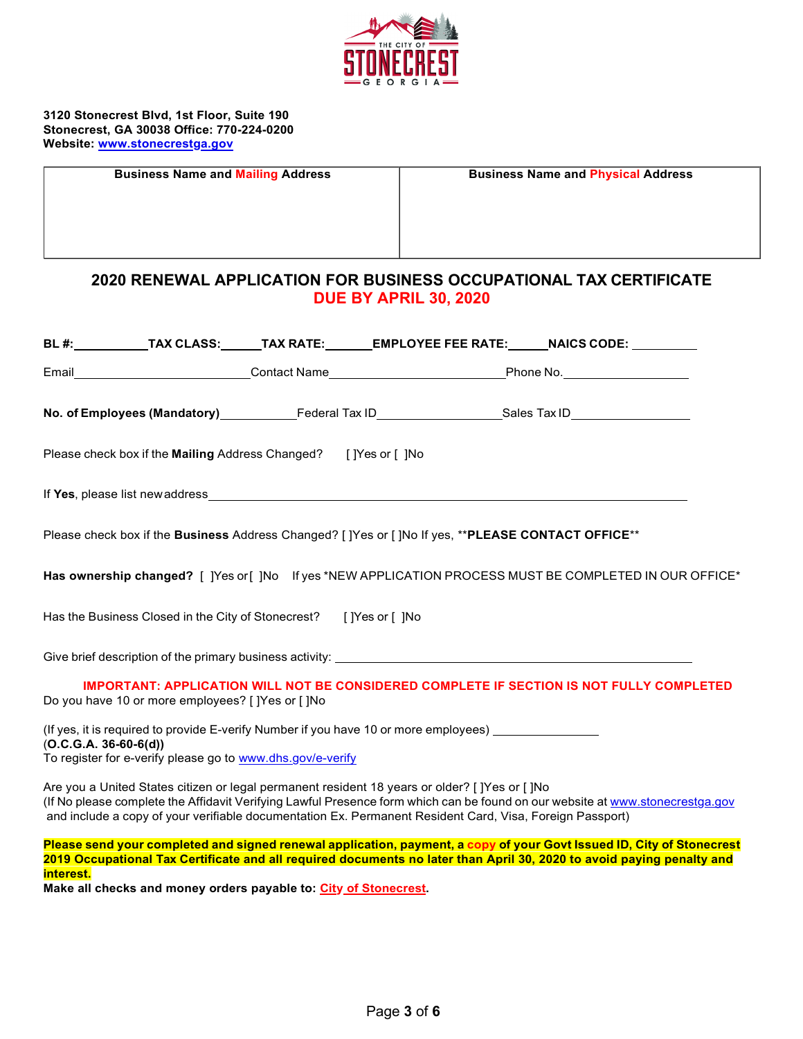

**3120 Stonecrest Blvd, 1st Floor, Suite 190 Stonecrest, GA 30038 Office: 770-224-0200 Website: [www.stonecrestga.gov](http://www.stonecrestga.gov/)**

**Business Name and Mailing Address Business Name and Physical Address**

## **2020 RENEWAL APPLICATION FOR BUSINESS OCCUPATIONAL TAX CERTIFICATE DUE BY APRIL 30, 2020**

|                         |                                                                  |                                                                                                      | BL #:____________TAX CLASS:______TAX RATE:________EMPLOYEE FEE RATE:______NAICS CODE: __________           |  |
|-------------------------|------------------------------------------------------------------|------------------------------------------------------------------------------------------------------|------------------------------------------------------------------------------------------------------------|--|
|                         |                                                                  |                                                                                                      | Email____________________________Contact Name______________________________Phone No.______________________ |  |
|                         |                                                                  |                                                                                                      | No. of Employees (Mandatory)_______________Federal Tax ID__________________Sales Tax ID___________________ |  |
|                         | Please check box if the Mailing Address Changed? [Yes or [ ] No  |                                                                                                      |                                                                                                            |  |
|                         |                                                                  |                                                                                                      |                                                                                                            |  |
|                         |                                                                  | Please check box if the Business Address Changed? [ ]Yes or [ ]No If yes, ** PLEASE CONTACT OFFICE** |                                                                                                            |  |
|                         |                                                                  |                                                                                                      | Has ownership changed? [ ]Yes or [ ]No If yes *NEW APPLICATION PROCESS MUST BE COMPLETED IN OUR OFFICE*    |  |
|                         | Has the Business Closed in the City of Stonecrest? []Yes or []No |                                                                                                      |                                                                                                            |  |
|                         |                                                                  |                                                                                                      |                                                                                                            |  |
|                         | Do you have 10 or more employees? [ ]Yes or [ ]No                |                                                                                                      | <b>IMPORTANT: APPLICATION WILL NOT BE CONSIDERED COMPLETE IF SECTION IS NOT FULLY COMPLETED</b>            |  |
| $(O.C.G.A. 36-60-6(d))$ | To register for e-verify please go to www.dhs.gov/e-verify       | (If yes, it is required to provide E-verify Number if you have 10 or more employees) ______________  |                                                                                                            |  |

Are you a United States citizen or legal permanent resident 18 years or older? [ ]Yes or [ ]No (If No please complete the Affidavit Verifying Lawful Presence form which can be found on our website a[t www.stonecrestga.gov](http://www.stonecrestga.gov/) and include a copy of your verifiable documentation Ex. Permanent Resident Card, Visa, Foreign Passport)

Please send your completed and signed renewal application, payment, a copy of your Govt Issued ID, City of Stonecrest **2019 Occupational Tax Certificate and all required documents no later than April 30, 2020 to avoid paying penalty and interest.**

**Make all checks and money orders payable to: City of Stonecrest.**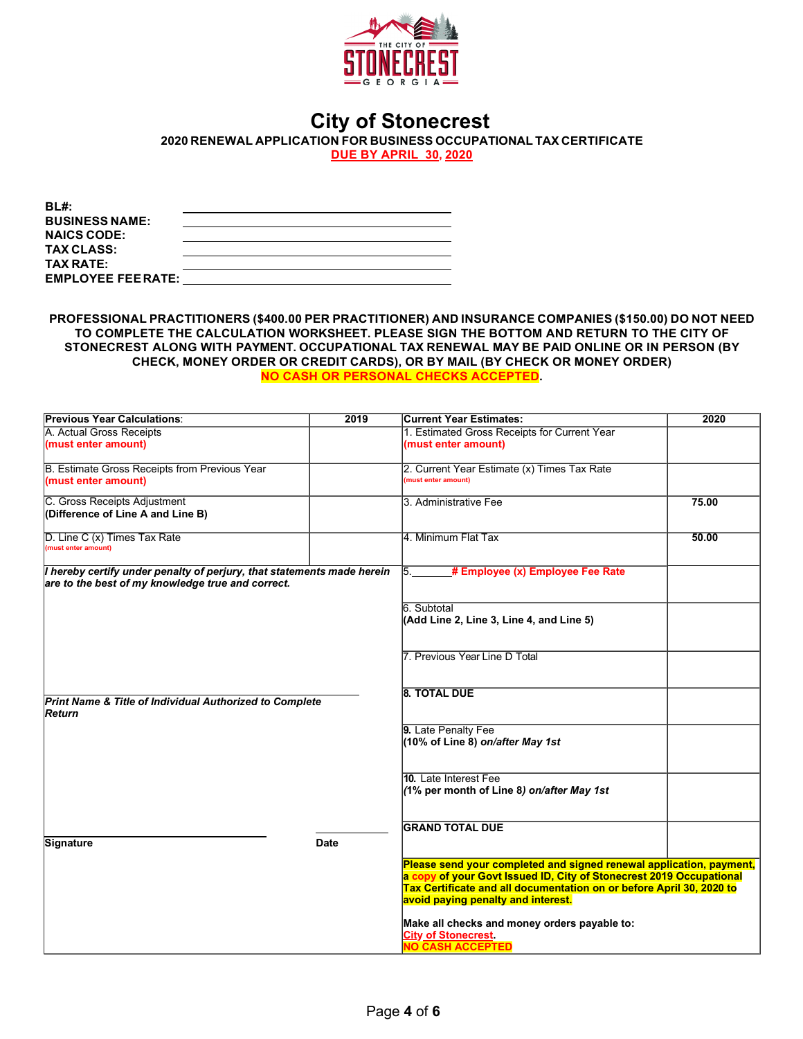

# **City of Stonecrest**

**2020 RENEWAL APPLICATION FOR BUSINESS OCCUPATIONAL TAX CERTIFICATE** 

**DUE BY APRIL 30, 2020**

| BL#:                      |  |
|---------------------------|--|
| <b>BUSINESS NAME:</b>     |  |
| <b>NAICS CODE:</b>        |  |
| <b>TAX CLASS:</b>         |  |
| <b>TAX RATE:</b>          |  |
| <b>EMPLOYEE FEE RATE:</b> |  |

**PROFESSIONAL PRACTITIONERS (\$400.00 PER PRACTITIONER) AND INSURANCE COMPANIES (\$150.00) DO NOT NEED TO COMPLETE THE CALCULATION WORKSHEET. PLEASE SIGN THE BOTTOM AND RETURN TO THE CITY OF STONECREST ALONG WITH PAYMENT. OCCUPATIONAL TAX RENEWAL MAY BE PAID ONLINE OR IN PERSON (BY CHECK, MONEY ORDER OR CREDIT CARDS), OR BY MAIL (BY CHECK OR MONEY ORDER) NO CASH OR PERSONAL CHECKS ACCEPTED.**

| <b>Previous Year Calculations:</b>                                                                                          | 2019        | <b>Current Year Estimates:</b>                                                                                                                                                                                                                           | 2020  |
|-----------------------------------------------------------------------------------------------------------------------------|-------------|----------------------------------------------------------------------------------------------------------------------------------------------------------------------------------------------------------------------------------------------------------|-------|
| A. Actual Gross Receipts                                                                                                    |             | 1. Estimated Gross Receipts for Current Year                                                                                                                                                                                                             |       |
| (must enter amount)                                                                                                         |             | (must enter amount)                                                                                                                                                                                                                                      |       |
| B. Estimate Gross Receipts from Previous Year<br>(must enter amount)                                                        |             | 2. Current Year Estimate (x) Times Tax Rate<br>(must enter amount)                                                                                                                                                                                       |       |
| C. Gross Receipts Adjustment<br>(Difference of Line A and Line B)                                                           |             | 3. Administrative Fee                                                                                                                                                                                                                                    | 75.00 |
| D. Line C (x) Times Tax Rate<br>(must enter amount)                                                                         |             | 4. Minimum Flat Tax                                                                                                                                                                                                                                      | 50.00 |
| I hereby certify under penalty of perjury, that statements made herein<br>are to the best of my knowledge true and correct. |             | # Employee (x) Employee Fee Rate<br>5.                                                                                                                                                                                                                   |       |
|                                                                                                                             |             | 6. Subtotal<br>(Add Line 2, Line 3, Line 4, and Line 5)                                                                                                                                                                                                  |       |
|                                                                                                                             |             | 7. Previous Year Line D Total                                                                                                                                                                                                                            |       |
| Print Name & Title of Individual Authorized to Complete<br>Return                                                           |             | <b>8. TOTAL DUE</b>                                                                                                                                                                                                                                      |       |
|                                                                                                                             |             | 9. Late Penalty Fee<br>(10% of Line 8) on/after May 1st                                                                                                                                                                                                  |       |
|                                                                                                                             |             | 10. Late Interest Fee<br>(1% per month of Line 8) on/after May 1st                                                                                                                                                                                       |       |
| Signature                                                                                                                   | <b>Date</b> | <b>GRAND TOTAL DUE</b>                                                                                                                                                                                                                                   |       |
|                                                                                                                             |             | Please send your completed and signed renewal application, payment,<br>a copy of your Govt Issued ID, City of Stonecrest 2019 Occupational<br>Tax Certificate and all documentation on or before April 30, 2020 to<br>avoid paying penalty and interest. |       |
|                                                                                                                             |             | Make all checks and money orders payable to:<br><b>City of Stonecrest</b><br>NO CASH ACCEPTED                                                                                                                                                            |       |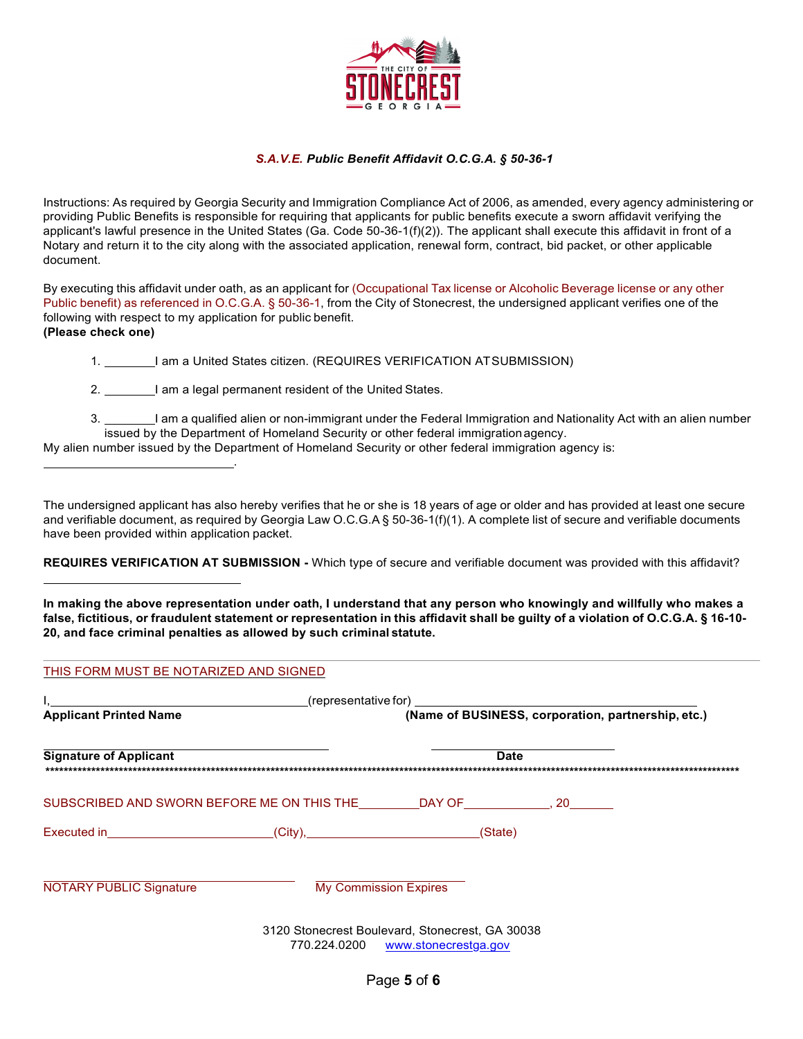

### *S.A.V.E. Public Benefit Affidavit O.C.G.A. § 50-36-1*

Instructions: As required by Georgia Security and Immigration Compliance Act of 2006, as amended, every agency administering or providing Public Benefits is responsible for requiring that applicants for public benefits execute a sworn affidavit verifying the applicant's lawful presence in the United States (Ga. Code 50-36-1(f)(2)). The applicant shall execute this affidavit in front of a Notary and return it to the city along with the associated application, renewal form, contract, bid packet, or other applicable document.

By executing this affidavit under oath, as an applicant for (Occupational Tax license or Alcoholic Beverage license or any other Public benefit) as referenced in O.C.G.A. § 50-36-1, from the City of Stonecrest, the undersigned applicant verifies one of the following with respect to my application for public benefit. **(Please check one)**

1. 1. I am a United States citizen. (REQUIRES VERIFICATION ATSUBMISSION)

2. I am a legal permanent resident of the United States.

.

3. I am a qualified alien or non-immigrant under the Federal Immigration and Nationality Act with an alien number issued by the Department of Homeland Security or other federal immigration agency.

My alien number issued by the Department of Homeland Security or other federal immigration agency is:

The undersigned applicant has also hereby verifies that he or she is 18 years of age or older and has provided at least one secure and verifiable document, as required by Georgia Law O.C.G.A § 50-36-1(f)(1). A complete list of secure and verifiable documents have been provided within application packet.

**REQUIRES VERIFICATION AT SUBMISSION -** Which type of secure and verifiable document was provided with this affidavit?

**In making the above representation under oath, I understand that any person who knowingly and willfully who makes a**  false, fictitious, or fraudulent statement or representation in this affidavit shall be guilty of a violation of O.C.G.A. § 16-10-**20, and face criminal penalties as allowed by such criminal statute.**

| <b>Applicant Printed Name</b>                                      |                                             | (Name of BUSINESS, corporation, partnership, etc.)                                   |  |
|--------------------------------------------------------------------|---------------------------------------------|--------------------------------------------------------------------------------------|--|
| <b>Signature of Applicant</b>                                      |                                             | <b>Date</b>                                                                          |  |
| SUBSCRIBED AND SWORN BEFORE ME ON THIS THE DAY OF THIS RESOLUTION. |                                             |                                                                                      |  |
|                                                                    | _(City),___________________________________ | (State)                                                                              |  |
| <b>NOTARY PUBLIC Signature</b>                                     | <b>My Commission Expires</b>                |                                                                                      |  |
|                                                                    |                                             | 3120 Stonecrest Boulevard, Stonecrest, GA 30038<br>770.224.0200 www.stonecrestga.gov |  |